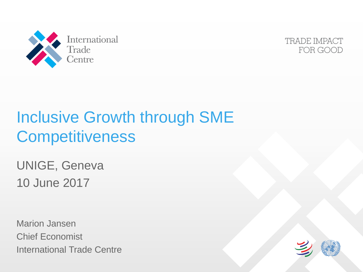



### Inclusive Growth through SME **Competitiveness**

UNIGE, Geneva 10 June 2017

Marion Jansen Chief Economist International Trade Centre

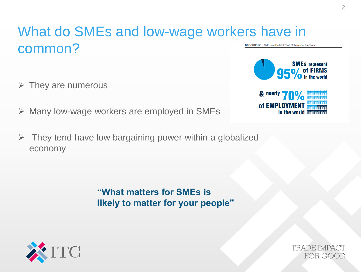#### What do SMEs and low-wage workers have in common? INFOGRAPHIC SMEs are the backbone of the global economy

- $\triangleright$  They are numerous
- $\triangleright$  Many low-wage workers are employed in SMEs
- $\triangleright$  They tend have low bargaining power within a globalized economy

**"What matters for SMEs is likely to matter for your people"**





**TRADE IMPACT** FOR GOOD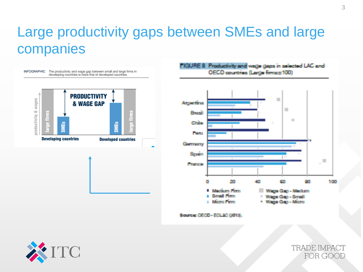#### Large productivity gaps between SMEs and large companies





**TRADE IMPACT** FOR GOOD

 $\mathcal{L}_{\mathcal{A}}$ 

100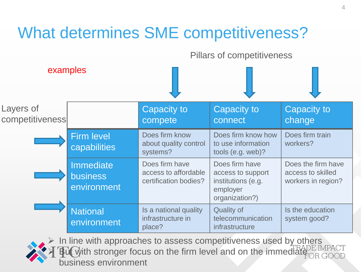

 In line with approaches to assess competitiveness used by others with stronger focus on the firm level and on the immediatebusiness environment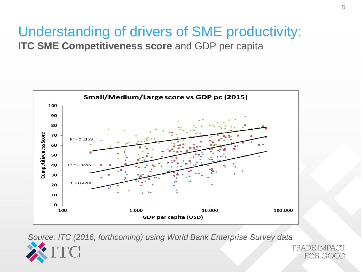# Understanding of drivers of SME productivity:

**ITC SME Competitiveness score** and GDP per capita



*Source: ITC (2016, forthcoming) using World Bank Enterprise Survey data*



**TRADE IMPACT** FOR GOOD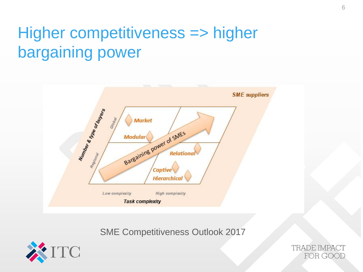## Higher competitiveness => higher bargaining power



SME Competitiveness Outlook 2017



**TRADE IMPACT** FOR GOOD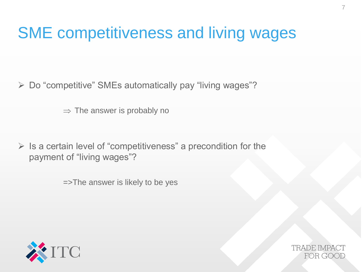### SME competitiveness and living wages

Do "competitive" SMEs automatically pay "living wages"?

 $\Rightarrow$  The answer is probably no

 $\triangleright$  Is a certain level of "competitiveness" a precondition for the payment of "living wages"?

=>The answer is likely to be yes